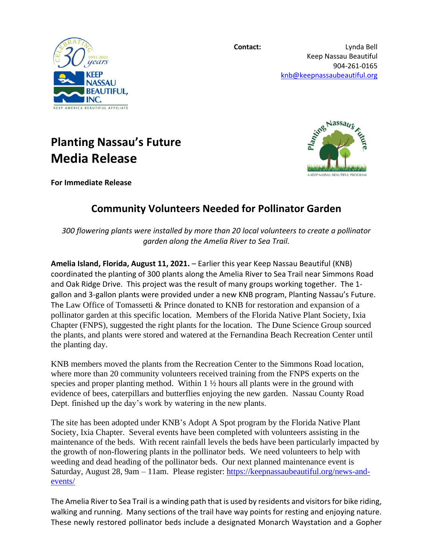

**Contact:** Lynda Bell Keep Nassau Beautiful 904-261-0165 [knb@keepnassaubeautiful.org](mailto:knb@keepnassaubeautiful.org)



## **Planting Nassau's Future Media Release**



**For Immediate Release**

## **Community Volunteers Needed for Pollinator Garden**

*300 flowering plants were installed by more than 20 local volunteers to create a pollinator garden along the Amelia River to Sea Trail.* 

**Amelia Island, Florida, August 11, 2021.** – Earlier this year Keep Nassau Beautiful (KNB) coordinated the planting of 300 plants along the Amelia River to Sea Trail near Simmons Road and Oak Ridge Drive. This project was the result of many groups working together. The 1 gallon and 3-gallon plants were provided under a new KNB program, Planting Nassau's Future. The Law Office of Tomassetti & Prince donated to KNB for restoration and expansion of a pollinator garden at this specific location. Members of the Florida Native Plant Society, Ixia Chapter (FNPS), suggested the right plants for the location. The Dune Science Group sourced the plants, and plants were stored and watered at the Fernandina Beach Recreation Center until the planting day.

KNB members moved the plants from the Recreation Center to the Simmons Road location, where more than 20 community volunteers received training from the FNPS experts on the species and proper planting method. Within  $1 \frac{1}{2}$  hours all plants were in the ground with evidence of bees, caterpillars and butterflies enjoying the new garden. Nassau County Road Dept. finished up the day's work by watering in the new plants.

The site has been adopted under KNB's Adopt A Spot program by the Florida Native Plant Society, Ixia Chapter. Several events have been completed with volunteers assisting in the maintenance of the beds. With recent rainfall levels the beds have been particularly impacted by the growth of non-flowering plants in the pollinator beds. We need volunteers to help with weeding and dead heading of the pollinator beds. Our next planned maintenance event is Saturday, August 28, 9am – 11am. Please register: [https://keepnassaubeautiful.org/news-and](https://keepnassaubeautiful.org/news-and-events/)[events/](https://keepnassaubeautiful.org/news-and-events/)

The Amelia River to Sea Trail is a winding path that is used by residents and visitors for bike riding, walking and running. Many sections of the trail have way points for resting and enjoying nature. These newly restored pollinator beds include a designated Monarch Waystation and a Gopher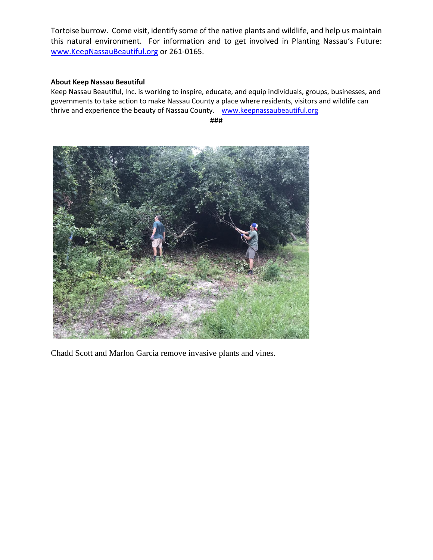Tortoise burrow. Come visit, identify some of the native plants and wildlife, and help us maintain this natural environment. For information and to get involved in Planting Nassau's Future: [www.KeepNassauBeautiful.org](http://www.keepnassaubeautiful.org/) or 261-0165.

## **About Keep Nassau Beautiful**

Keep Nassau Beautiful, Inc. is working to inspire, educate, and equip individuals, groups, businesses, and governments to take action to make Nassau County a place where residents, visitors and wildlife can thrive and experience the beauty of Nassau County. [www.keepnassaubeautiful.org](http://www.keepnassaubeautiful.org/)

###



Chadd Scott and Marlon Garcia remove invasive plants and vines.